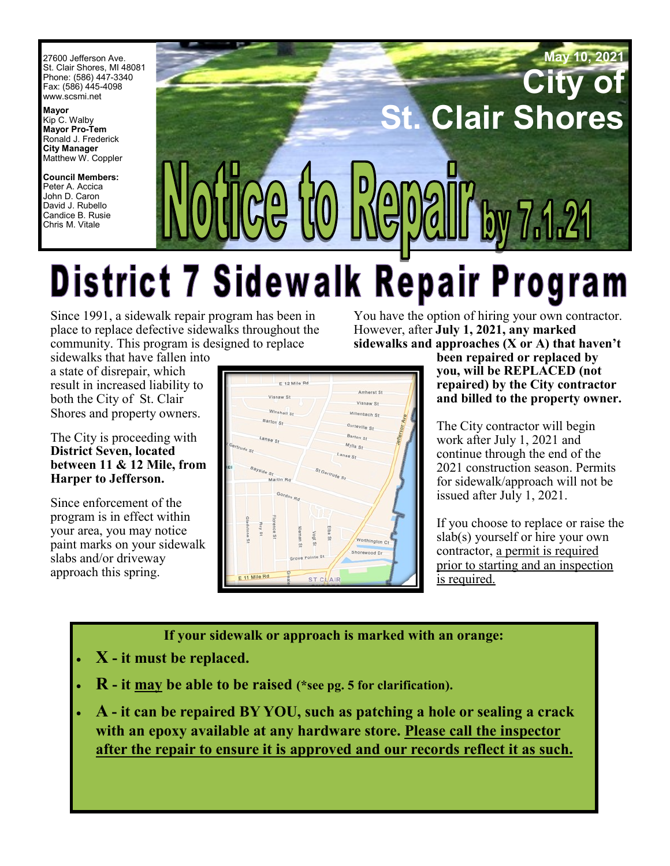27600 Jefferson Ave. St. Clair Shores, MI 48081 Phone: (586) 447-3340 Fax: (586) 445-4098 [www.scsmi.net](http://www.stclairshores.net/)

**Mayor** Kip C. Walby **Mayor Pro-Tem** Ronald J. Frederick **City Manager** Matthew W. Coppler

**Council Members:** Peter A. Accica John D. Caron David J. Rubello Candice B. Rusie Chris M. Vitale



# **District 7 Sidewalk Repair Program**

Since 1991, a sidewalk repair program has been in place to replace defective sidewalks throughout the community. This program is designed to replace

You have the option of hiring your own contractor. However, after **July 1, 2021, any marked sidewalks and approaches (X or A) that haven't** 

sidewalks that have fallen into a state of disrepair, which result in increased liability to both the City of St. Clair Shores and property owners.

#### The City is proceeding with **District Seven, located between 11 & 12 Mile, from Harper to Jefferson.**

Since enforcement of the program is in effect within your area, you may notice paint marks on your sidewalk slabs and/or driveway approach this spring.



**been repaired or replaced by you, will be REPLACED (not repaired) by the City contractor and billed to the property owner.** 

The City contractor will begin work after July 1, 2021 and continue through the end of the 2021 construction season. Permits for sidewalk/approach will not be issued after July 1, 2021.

If you choose to replace or raise the slab(s) yourself or hire your own contractor, a permit is required prior to starting and an inspection is required.

**If your sidewalk or approach is marked with an orange:** 

- **X - it must be replaced.**
- **R - it may be able to be raised (\*see pg. 5 for clarification).**
- **A - it can be repaired BY YOU, such as patching a hole or sealing a crack with an epoxy available at any hardware store. Please call the inspector after the repair to ensure it is approved and our records reflect it as such.**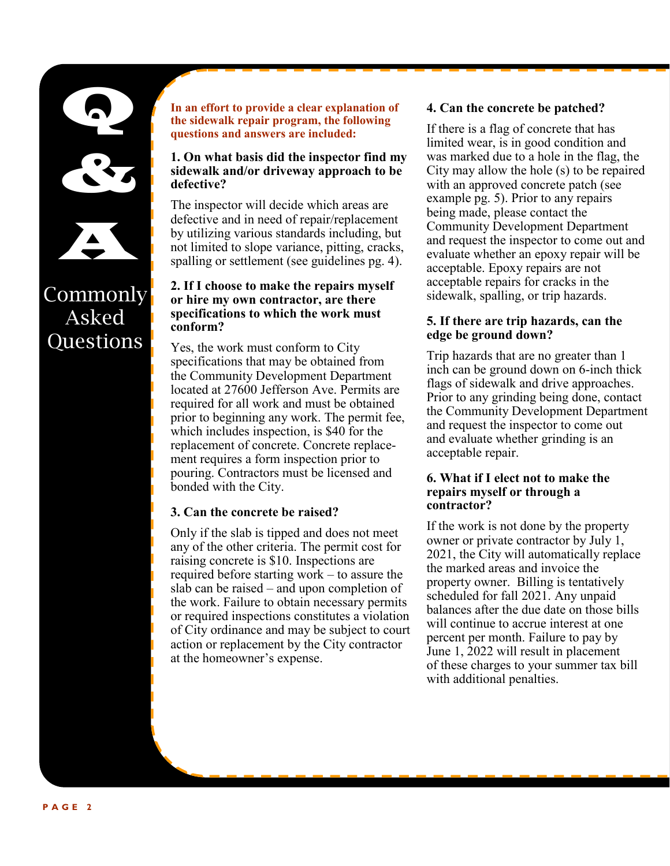

Red B

A

**Commonly** 

Asked

Questions

**In an effort to provide a clear explanation of the sidewalk repair program, the following questions and answers are included:**

#### **1. On what basis did the inspector find my sidewalk and/or driveway approach to be defective?**

The inspector will decide which areas are defective and in need of repair/replacement by utilizing various standards including, but not limited to slope variance, pitting, cracks, spalling or settlement (see guidelines pg. 4).

#### **2. If I choose to make the repairs myself or hire my own contractor, are there specifications to which the work must conform?**

Yes, the work must conform to City specifications that may be obtained from the Community Development Department located at 27600 Jefferson Ave. Permits are required for all work and must be obtained prior to beginning any work. The permit fee, which includes inspection, is \$40 for the replacement of concrete. Concrete replacement requires a form inspection prior to pouring. Contractors must be licensed and bonded with the City.

#### **3. Can the concrete be raised?**

Only if the slab is tipped and does not meet any of the other criteria. The permit cost for raising concrete is \$10. Inspections are required before starting work – to assure the slab can be raised – and upon completion of the work. Failure to obtain necessary permits or required inspections constitutes a violation of City ordinance and may be subject to court action or replacement by the City contractor at the homeowner's expense.

#### **4. Can the concrete be patched?**

If there is a flag of concrete that has limited wear, is in good condition and was marked due to a hole in the flag, the City may allow the hole (s) to be repaired with an approved concrete patch (see example pg. 5). Prior to any repairs being made, please contact the Community Development Department and request the inspector to come out and evaluate whether an epoxy repair will be acceptable. Epoxy repairs are not acceptable repairs for cracks in the sidewalk, spalling, or trip hazards.

#### **5. If there are trip hazards, can the edge be ground down?**

Trip hazards that are no greater than 1 inch can be ground down on 6-inch thick flags of sidewalk and drive approaches. Prior to any grinding being done, contact the Community Development Department and request the inspector to come out and evaluate whether grinding is an acceptable repair.

#### **6. What if I elect not to make the repairs myself or through a contractor?**

If the work is not done by the property owner or private contractor by July 1, 2021, the City will automatically replace the marked areas and invoice the property owner. Billing is tentatively scheduled for fall 2021. Any unpaid balances after the due date on those bills will continue to accrue interest at one percent per month. Failure to pay by June 1, 2022 will result in placement of these charges to your summer tax bill with additional penalties.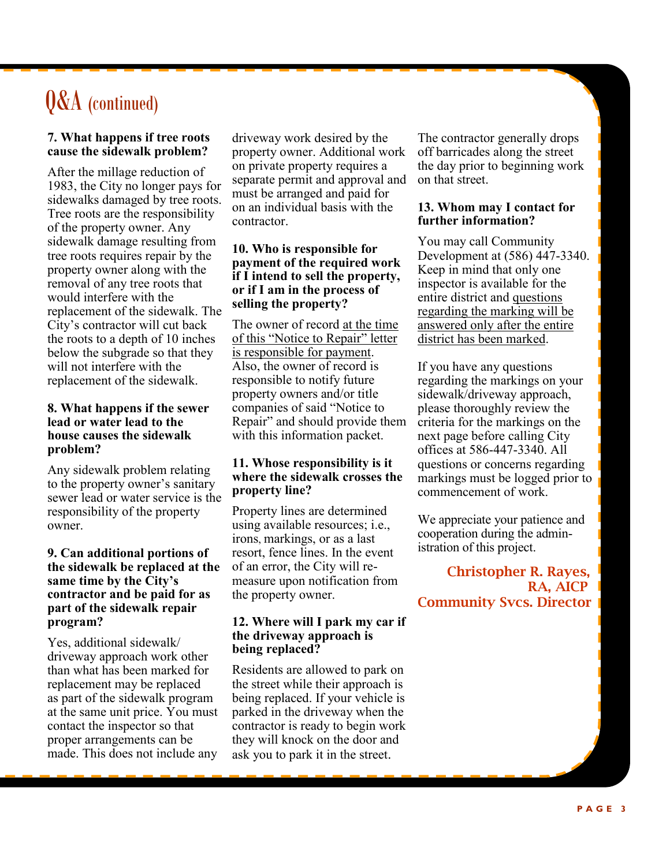## Q&A (continued)

#### **7. What happens if tree roots cause the sidewalk problem?**

After the millage reduction of 1983, the City no longer pays for sidewalks damaged by tree roots. Tree roots are the responsibility of the property owner. Any sidewalk damage resulting from tree roots requires repair by the property owner along with the removal of any tree roots that would interfere with the replacement of the sidewalk. The City's contractor will cut back the roots to a depth of 10 inches below the subgrade so that they will not interfere with the replacement of the sidewalk.

#### **8. What happens if the sewer lead or water lead to the house causes the sidewalk problem?**

Any sidewalk problem relating to the property owner's sanitary sewer lead or water service is the responsibility of the property owner.

#### **9. Can additional portions of the sidewalk be replaced at the same time by the City's contractor and be paid for as part of the sidewalk repair program?**

Yes, additional sidewalk/ driveway approach work other than what has been marked for replacement may be replaced as part of the sidewalk program at the same unit price. You must contact the inspector so that proper arrangements can be made. This does not include any

driveway work desired by the property owner. Additional work on private property requires a separate permit and approval and must be arranged and paid for on an individual basis with the contractor.

#### **10. Who is responsible for payment of the required work if I intend to sell the property, or if I am in the process of selling the property?**

The owner of record at the time of this "Notice to Repair" letter is responsible for payment. Also, the owner of record is responsible to notify future property owners and/or title companies of said "Notice to Repair" and should provide them with this information packet.

#### **11. Whose responsibility is it where the sidewalk crosses the property line?**

Property lines are determined using available resources; i.e., irons, markings, or as a last resort, fence lines. In the event of an error, the City will remeasure upon notification from the property owner.

#### **12. Where will I park my car if the driveway approach is being replaced?**

Residents are allowed to park on the street while their approach is being replaced. If your vehicle is parked in the driveway when the contractor is ready to begin work they will knock on the door and ask you to park it in the street.

The contractor generally drops off barricades along the street the day prior to beginning work on that street.

#### **13. Whom may I contact for further information?**

You may call Community Development at (586) 447-3340. Keep in mind that only one inspector is available for the entire district and questions regarding the marking will be answered only after the entire district has been marked.

If you have any questions regarding the markings on your sidewalk/driveway approach, please thoroughly review the criteria for the markings on the next page before calling City offices at 586-447-3340. All questions or concerns regarding markings must be logged prior to commencement of work.

We appreciate your patience and cooperation during the administration of this project.

Christopher R. Rayes, RA, AICP Community Svcs. Director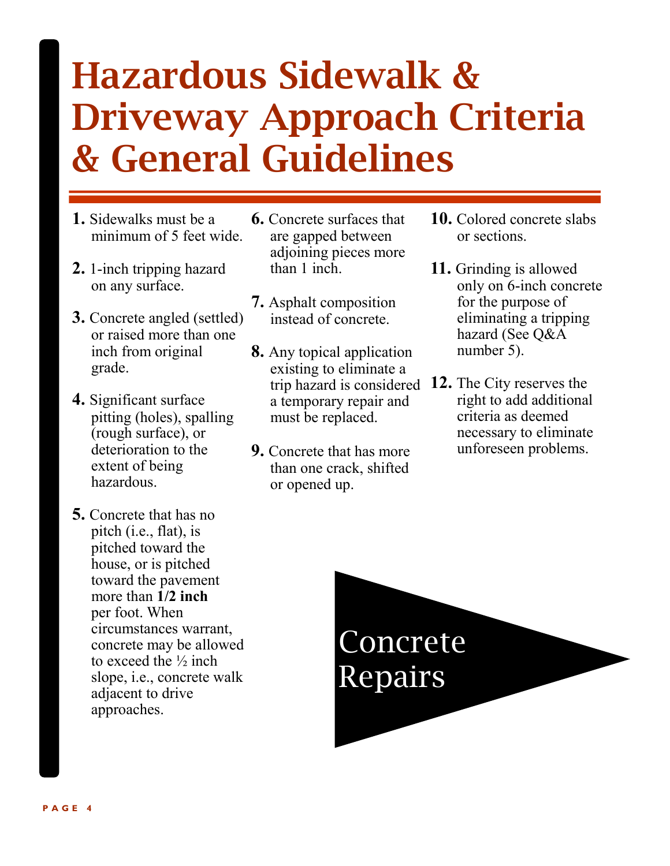## Hazardous Sidewalk & Driveway Approach Criteria & General Guidelines

- **1.** Sidewalks must be a minimum of 5 feet wide.
- **2.** 1-inch tripping hazard on any surface.
- **3.** Concrete angled (settled) or raised more than one inch from original grade.
- **4.** Significant surface pitting (holes), spalling (rough surface), or deterioration to the extent of being hazardous.
- **5.** Concrete that has no pitch (i.e., flat), is pitched toward the house, or is pitched toward the pavement more than **1/2 inch** per foot. When circumstances warrant, concrete may be allowed to exceed the  $\frac{1}{2}$  inch slope, i.e., concrete walk adjacent to drive approaches.
- **6.** Concrete surfaces that are gapped between adjoining pieces more than 1 inch.
- **7.** Asphalt composition instead of concrete.
- **8.** Any topical application existing to eliminate a trip hazard is considered **12.** The City reserves the a temporary repair and must be replaced.
- **9.** Concrete that has more than one crack, shifted or opened up.
- **10.** Colored concrete slabs or sections.
- **11.** Grinding is allowed only on 6-inch concrete for the purpose of eliminating a tripping hazard (See Q&A number 5).
- right to add additional criteria as deemed necessary to eliminate unforeseen problems.

Concrete Repairs